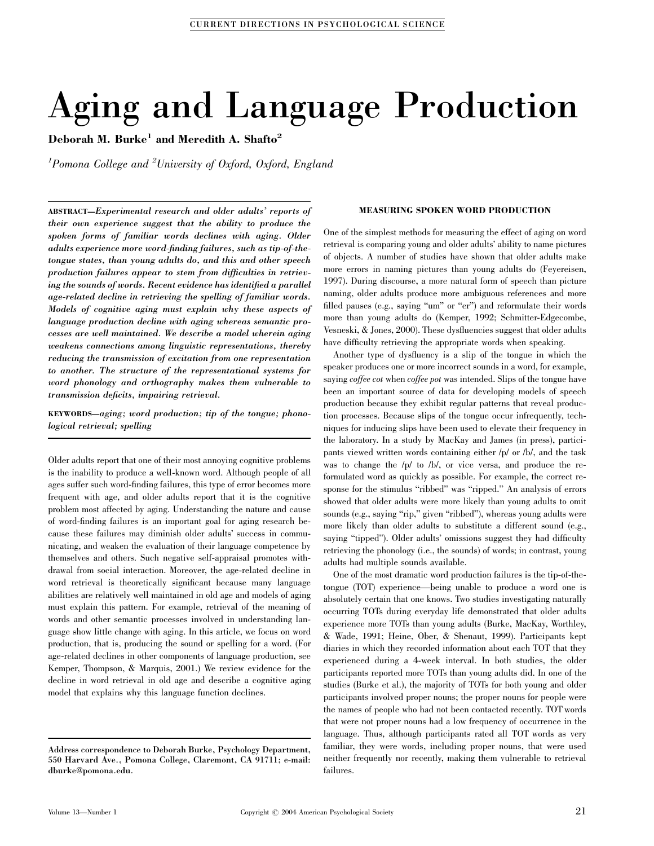# Aging and Language Production

Deborah M. Burke<sup>1</sup> and Meredith A. Shafto<sup>2</sup>

<sup>1</sup>Pomona College and <sup>2</sup>University of Oxford, Oxford, England

ABSTRACT—Experimental research and older adults' reports of their own experience suggest that the ability to produce the spoken forms of familiar words declines with aging. Older adults experience more word-finding failures, such as tip-of-thetongue states, than young adults do, and this and other speech production failures appear to stem from difficulties in retrieving the sounds of words. Recent evidence has identified a parallel age-related decline in retrieving the spelling of familiar words. Models of cognitive aging must explain why these aspects of language production decline with aging whereas semantic processes are well maintained. We describe a model wherein aging weakens connections among linguistic representations, thereby reducing the transmission of excitation from one representation to another. The structure of the representational systems for word phonology and orthography makes them vulnerable to transmission deficits, impairing retrieval.

KEYWORDS—aging; word production; tip of the tongue; phonological retrieval; spelling

Older adults report that one of their most annoying cognitive problems is the inability to produce a well-known word. Although people of all ages suffer such word-finding failures, this type of error becomes more frequent with age, and older adults report that it is the cognitive problem most affected by aging. Understanding the nature and cause of word-finding failures is an important goal for aging research because these failures may diminish older adults' success in communicating, and weaken the evaluation of their language competence by themselves and others. Such negative self-appraisal promotes withdrawal from social interaction. Moreover, the age-related decline in word retrieval is theoretically significant because many language abilities are relatively well maintained in old age and models of aging must explain this pattern. For example, retrieval of the meaning of words and other semantic processes involved in understanding language show little change with aging. In this article, we focus on word production, that is, producing the sound or spelling for a word. (For age-related declines in other components of language production, see Kemper, Thompson, & Marquis, 2001.) We review evidence for the decline in word retrieval in old age and describe a cognitive aging model that explains why this language function declines.

# MEASURING SPOKEN WORD PRODUCTION

One of the simplest methods for measuring the effect of aging on word retrieval is comparing young and older adults' ability to name pictures of objects. A number of studies have shown that older adults make more errors in naming pictures than young adults do (Feyereisen, 1997). During discourse, a more natural form of speech than picture naming, older adults produce more ambiguous references and more filled pauses (e.g., saying "um" or "er") and reformulate their words more than young adults do (Kemper, 1992; Schmitter-Edgecombe, Vesneski, & Jones, 2000). These dysfluencies suggest that older adults have difficulty retrieving the appropriate words when speaking.

Another type of dysfluency is a slip of the tongue in which the speaker produces one or more incorrect sounds in a word, for example, saying *coffee cot* when *coffee pot* was intended. Slips of the tongue have been an important source of data for developing models of speech production because they exhibit regular patterns that reveal production processes. Because slips of the tongue occur infrequently, techniques for inducing slips have been used to elevate their frequency in the laboratory. In a study by MacKay and James (in press), participants viewed written words containing either /p/ or /b/, and the task was to change the /p/ to /b/, or vice versa, and produce the reformulated word as quickly as possible. For example, the correct response for the stimulus "ribbed" was "ripped." An analysis of errors showed that older adults were more likely than young adults to omit sounds (e.g., saying "rip," given "ribbed"), whereas young adults were more likely than older adults to substitute a different sound (e.g., saying "tipped"). Older adults' omissions suggest they had difficulty retrieving the phonology (i.e., the sounds) of words; in contrast, young adults had multiple sounds available.

One of the most dramatic word production failures is the tip-of-thetongue (TOT) experience—being unable to produce a word one is absolutely certain that one knows. Two studies investigating naturally occurring TOTs during everyday life demonstrated that older adults experience more TOTs than young adults (Burke, MacKay, Worthley, & Wade, 1991; Heine, Ober, & Shenaut, 1999). Participants kept diaries in which they recorded information about each TOT that they experienced during a 4-week interval. In both studies, the older participants reported more TOTs than young adults did. In one of the studies (Burke et al.), the majority of TOTs for both young and older participants involved proper nouns; the proper nouns for people were the names of people who had not been contacted recently. TOT words that were not proper nouns had a low frequency of occurrence in the language. Thus, although participants rated all TOT words as very familiar, they were words, including proper nouns, that were used neither frequently nor recently, making them vulnerable to retrieval failures.

Address correspondence to Deborah Burke, Psychology Department, 550 Harvard Ave., Pomona College, Claremont, CA 91711; e-mail: dburke@pomona.edu.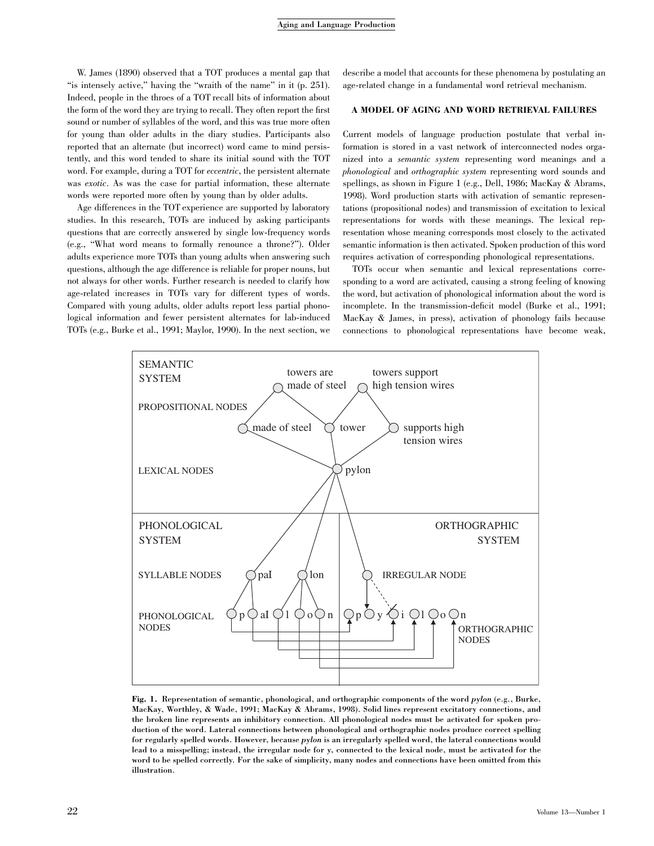W. James (1890) observed that a TOT produces a mental gap that "is intensely active," having the "wraith of the name" in it (p. 251). Indeed, people in the throes of a TOT recall bits of information about the form of the word they are trying to recall. They often report the first sound or number of syllables of the word, and this was true more often for young than older adults in the diary studies. Participants also reported that an alternate (but incorrect) word came to mind persistently, and this word tended to share its initial sound with the TOT word. For example, during a TOT for eccentric, the persistent alternate was exotic. As was the case for partial information, these alternate words were reported more often by young than by older adults.

Age differences in the TOT experience are supported by laboratory studies. In this research, TOTs are induced by asking participants questions that are correctly answered by single low-frequency words (e.g., ''What word means to formally renounce a throne?''). Older adults experience more TOTs than young adults when answering such questions, although the age difference is reliable for proper nouns, but not always for other words. Further research is needed to clarify how age-related increases in TOTs vary for different types of words. Compared with young adults, older adults report less partial phonological information and fewer persistent alternates for lab-induced TOTs (e.g., Burke et al., 1991; Maylor, 1990). In the next section, we describe a model that accounts for these phenomena by postulating an age-related change in a fundamental word retrieval mechanism.

## A MODEL OF AGING AND WORD RETRIEVAL FAILURES

Current models of language production postulate that verbal information is stored in a vast network of interconnected nodes organized into a semantic system representing word meanings and a phonological and orthographic system representing word sounds and spellings, as shown in Figure 1 (e.g., Dell, 1986; MacKay & Abrams, 1998). Word production starts with activation of semantic representations (propositional nodes) and transmission of excitation to lexical representations for words with these meanings. The lexical representation whose meaning corresponds most closely to the activated semantic information is then activated. Spoken production of this word requires activation of corresponding phonological representations.

TOTs occur when semantic and lexical representations corresponding to a word are activated, causing a strong feeling of knowing the word, but activation of phonological information about the word is incomplete. In the transmission-deficit model (Burke et al., 1991; MacKay & James, in press), activation of phonology fails because connections to phonological representations have become weak,



Fig. 1. Representation of semantic, phonological, and orthographic components of the word pylon (e.g., Burke, MacKay, Worthley, & Wade, 1991; MacKay & Abrams, 1998). Solid lines represent excitatory connections, and the broken line represents an inhibitory connection. All phonological nodes must be activated for spoken production of the word. Lateral connections between phonological and orthographic nodes produce correct spelling for regularly spelled words. However, because pylon is an irregularly spelled word, the lateral connections would lead to a misspelling; instead, the irregular node for y, connected to the lexical node, must be activated for the word to be spelled correctly. For the sake of simplicity, many nodes and connections have been omitted from this illustration.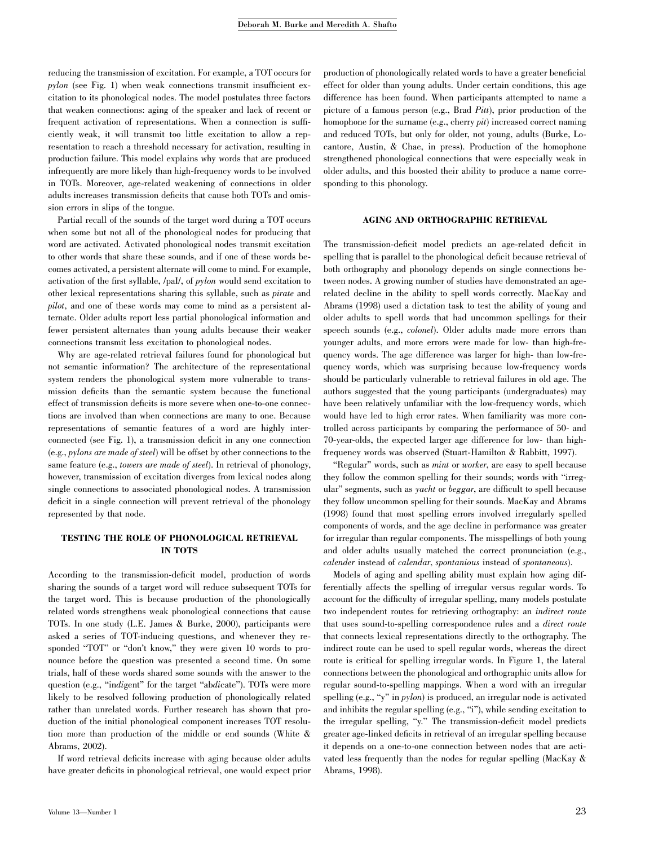reducing the transmission of excitation. For example, a TOT occurs for  $p$ ylon (see Fig. 1) when weak connections transmit insufficient excitation to its phonological nodes. The model postulates three factors that weaken connections: aging of the speaker and lack of recent or frequent activation of representations. When a connection is sufficiently weak, it will transmit too little excitation to allow a representation to reach a threshold necessary for activation, resulting in production failure. This model explains why words that are produced infrequently are more likely than high-frequency words to be involved in TOTs. Moreover, age-related weakening of connections in older adults increases transmission deficits that cause both TOTs and omission errors in slips of the tongue.

Partial recall of the sounds of the target word during a TOT occurs when some but not all of the phonological nodes for producing that word are activated. Activated phonological nodes transmit excitation to other words that share these sounds, and if one of these words becomes activated, a persistent alternate will come to mind. For example, activation of the first syllable, /paI/, of pylon would send excitation to other lexical representations sharing this syllable, such as pirate and pilot, and one of these words may come to mind as a persistent alternate. Older adults report less partial phonological information and fewer persistent alternates than young adults because their weaker connections transmit less excitation to phonological nodes.

Why are age-related retrieval failures found for phonological but not semantic information? The architecture of the representational system renders the phonological system more vulnerable to transmission deficits than the semantic system because the functional effect of transmission deficits is more severe when one-to-one connections are involved than when connections are many to one. Because representations of semantic features of a word are highly interconnected (see Fig. 1), a transmission deficit in any one connection (e.g., pylons are made of steel) will be offset by other connections to the same feature (e.g., towers are made of steel). In retrieval of phonology, however, transmission of excitation diverges from lexical nodes along single connections to associated phonological nodes. A transmission deficit in a single connection will prevent retrieval of the phonology represented by that node.

## TESTING THE ROLE OF PHONOLOGICAL RETRIEVAL IN TOTS

According to the transmission-deficit model, production of words sharing the sounds of a target word will reduce subsequent TOTs for the target word. This is because production of the phonologically related words strengthens weak phonological connections that cause TOTs. In one study (L.E. James & Burke, 2000), participants were asked a series of TOT-inducing questions, and whenever they responded "TOT" or "don't know," they were given 10 words to pronounce before the question was presented a second time. On some trials, half of these words shared some sounds with the answer to the question (e.g., "indigent" for the target "abdicate"). TOTs were more likely to be resolved following production of phonologically related rather than unrelated words. Further research has shown that production of the initial phonological component increases TOT resolution more than production of the middle or end sounds (White & Abrams, 2002).

If word retrieval deficits increase with aging because older adults have greater deficits in phonological retrieval, one would expect prior

production of phonologically related words to have a greater beneficial effect for older than young adults. Under certain conditions, this age difference has been found. When participants attempted to name a picture of a famous person (e.g., Brad Pitt), prior production of the homophone for the surname (e.g., cherry pit) increased correct naming and reduced TOTs, but only for older, not young, adults (Burke, Locantore, Austin, & Chae, in press). Production of the homophone strengthened phonological connections that were especially weak in older adults, and this boosted their ability to produce a name corresponding to this phonology.

### AGING AND ORTHOGRAPHIC RETRIEVAL

The transmission-deficit model predicts an age-related deficit in spelling that is parallel to the phonological deficit because retrieval of both orthography and phonology depends on single connections between nodes. A growing number of studies have demonstrated an agerelated decline in the ability to spell words correctly. MacKay and Abrams (1998) used a dictation task to test the ability of young and older adults to spell words that had uncommon spellings for their speech sounds (e.g., colonel). Older adults made more errors than younger adults, and more errors were made for low- than high-frequency words. The age difference was larger for high- than low-frequency words, which was surprising because low-frequency words should be particularly vulnerable to retrieval failures in old age. The authors suggested that the young participants (undergraduates) may have been relatively unfamiliar with the low-frequency words, which would have led to high error rates. When familiarity was more controlled across participants by comparing the performance of 50- and 70-year-olds, the expected larger age difference for low- than highfrequency words was observed (Stuart-Hamilton & Rabbitt, 1997).

"Regular" words, such as *mint* or *worker*, are easy to spell because they follow the common spelling for their sounds; words with ''irregular'' segments, such as yacht or beggar, are difficult to spell because they follow uncommon spelling for their sounds. MacKay and Abrams (1998) found that most spelling errors involved irregularly spelled components of words, and the age decline in performance was greater for irregular than regular components. The misspellings of both young and older adults usually matched the correct pronunciation (e.g., calender instead of calendar, spontanious instead of spontaneous).

Models of aging and spelling ability must explain how aging differentially affects the spelling of irregular versus regular words. To account for the difficulty of irregular spelling, many models postulate two independent routes for retrieving orthography: an indirect route that uses sound-to-spelling correspondence rules and a direct route that connects lexical representations directly to the orthography. The indirect route can be used to spell regular words, whereas the direct route is critical for spelling irregular words. In Figure 1, the lateral connections between the phonological and orthographic units allow for regular sound-to-spelling mappings. When a word with an irregular spelling (e.g., "y" in  $pylon$ ) is produced, an irregular node is activated and inhibits the regular spelling (e.g., "i"), while sending excitation to the irregular spelling, "y." The transmission-deficit model predicts greater age-linked deficits in retrieval of an irregular spelling because it depends on a one-to-one connection between nodes that are activated less frequently than the nodes for regular spelling (MacKay & Abrams, 1998).